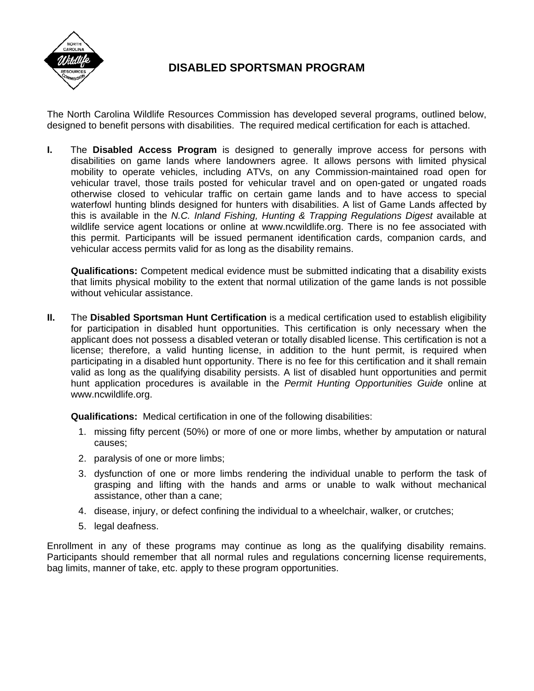

## **DISABLED SPORTSMAN PROGRAM**

The North Carolina Wildlife Resources Commission has developed several programs, outlined below, designed to benefit persons with disabilities. The required medical certification for each is attached.

**I.** The **Disabled Access Program** is designed to generally improve access for persons with disabilities on game lands where landowners agree. It allows persons with limited physical mobility to operate vehicles, including ATVs, on any Commission-maintained road open for vehicular travel, those trails posted for vehicular travel and on open-gated or ungated roads otherwise closed to vehicular traffic on certain game lands and to have access to special waterfowl hunting blinds designed for hunters with disabilities. A list of Game Lands affected by this is available in the *N.C. Inland Fishing, Hunting & Trapping Regulations Digest* available at wildlife service agent locations or online at www.ncwildlife.org. There is no fee associated with this permit. Participants will be issued permanent identification cards, companion cards, and vehicular access permits valid for as long as the disability remains.

**Qualifications:** Competent medical evidence must be submitted indicating that a disability exists that limits physical mobility to the extent that normal utilization of the game lands is not possible without vehicular assistance.

**II.** The **Disabled Sportsman Hunt Certification** is a medical certification used to establish eligibility for participation in disabled hunt opportunities. This certification is only necessary when the applicant does not possess a disabled veteran or totally disabled license. This certification is not a license; therefore, a valid hunting license, in addition to the hunt permit, is required when participating in a disabled hunt opportunity. There is no fee for this certification and it shall remain valid as long as the qualifying disability persists. A list of disabled hunt opportunities and permit hunt application procedures is available in the *Permit Hunting Opportunities Guide* online at www.ncwildlife.org.

**Qualifications:** Medical certification in one of the following disabilities:

- 1. missing fifty percent (50%) or more of one or more limbs, whether by amputation or natural causes;
- 2. paralysis of one or more limbs;
- 3. dysfunction of one or more limbs rendering the individual unable to perform the task of grasping and lifting with the hands and arms or unable to walk without mechanical assistance, other than a cane;
- 4. disease, injury, or defect confining the individual to a wheelchair, walker, or crutches;
- 5. legal deafness.

Enrollment in any of these programs may continue as long as the qualifying disability remains. Participants should remember that all normal rules and regulations concerning license requirements, bag limits, manner of take, etc. apply to these program opportunities.